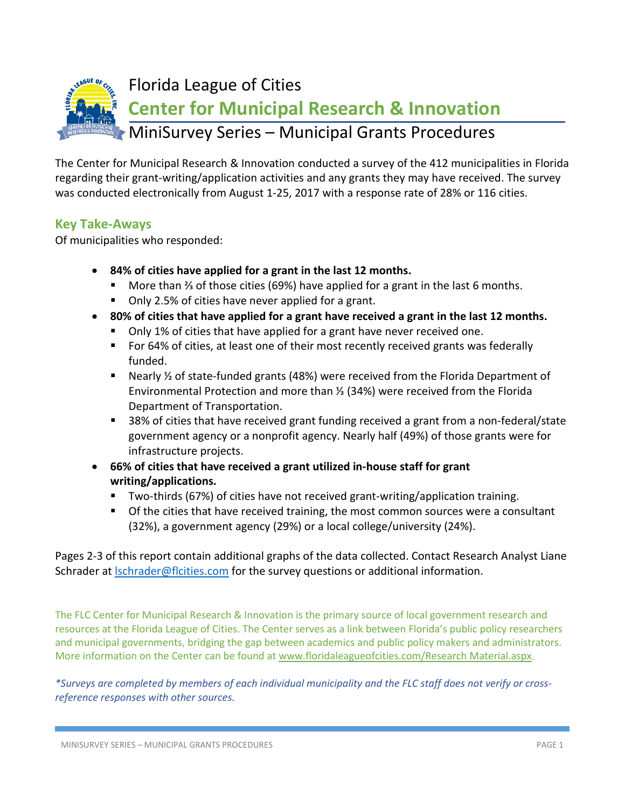

The Center for Municipal Research & Innovation conducted a survey of the 412 municipalities in Florida regarding their grant-writing/application activities and any grants they may have received. The survey was conducted electronically from August 1-25, 2017 with a response rate of 28% or 116 cities.

## **Key Take-Aways**

Of municipalities who responded:

- **84% of cities have applied for a grant in the last 12 months.**
	- More than <sup>3</sup> of those cities (69%) have applied for a grant in the last 6 months.
	- Only 2.5% of cities have never applied for a grant.
- **80% of cities that have applied for a grant have received a grant in the last 12 months.**
	- Only 1% of cities that have applied for a grant have never received one.
	- For 64% of cities, at least one of their most recently received grants was federally funded.
	- Nearly  $\frac{1}{2}$  of state-funded grants (48%) were received from the Florida Department of Environmental Protection and more than ⅓ (34%) were received from the Florida Department of Transportation.
	- 38% of cities that have received grant funding received a grant from a non-federal/state government agency or a nonprofit agency. Nearly half (49%) of those grants were for infrastructure projects.
- **66% of cities that have received a grant utilized in-house staff for grant writing/applications.**
	- Two-thirds (67%) of cities have not received grant-writing/application training.
	- Of the cities that have received training, the most common sources were a consultant (32%), a government agency (29%) or a local college/university (24%).

Pages 2-3 of this report contain additional graphs of the data collected. Contact Research Analyst Liane Schrader at **Schrader@flcities.com** for the survey questions or additional information.

The FLC Center for Municipal Research & Innovation is the primary source of local government research and resources at the Florida League of Cities. The Center serves as a link between Florida's public policy researchers and municipal governments, bridging the gap between academics and public policy makers and administrators. More information on the Center can be found at [www.floridaleagueofcities.com/Research Material.aspx.](http://www.floridaleagueofcities.com/Research%20Material.aspx)

*\*Surveys are completed by members of each individual municipality and the FLC staff does not verify or crossreference responses with other sources.*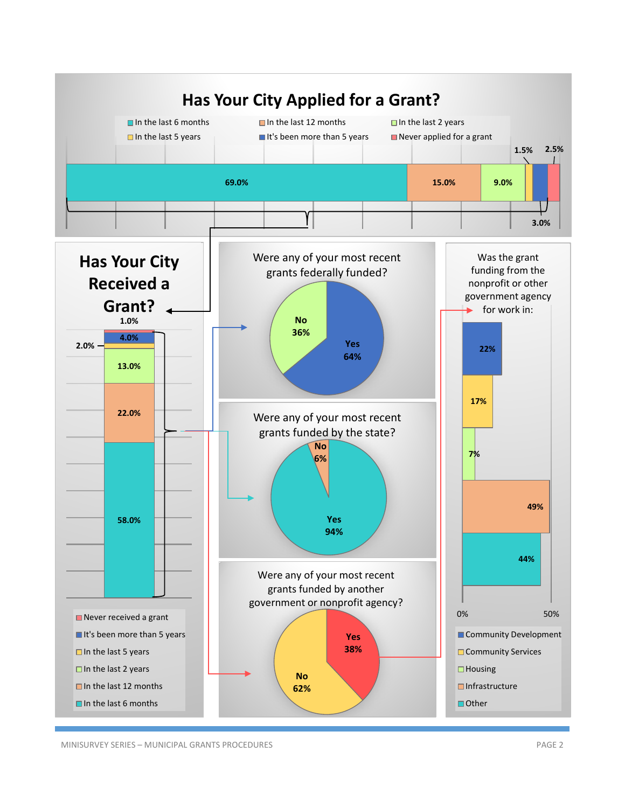